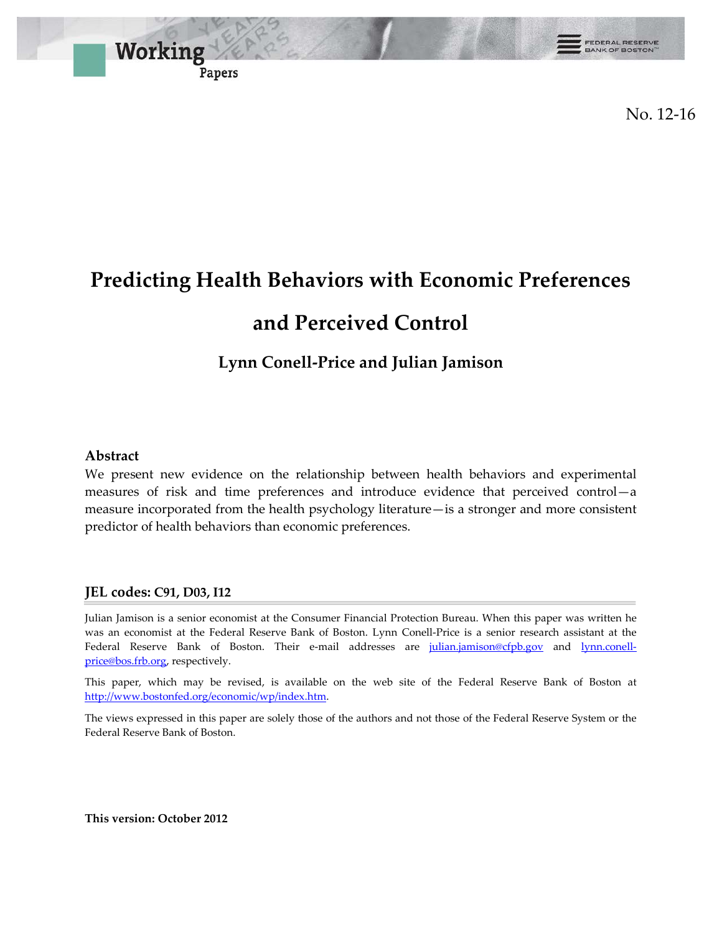

No. 12-16

# **Predicting Health Behaviors with Economic Preferences**

## **and Perceived Control**

## **Lynn Conell-Price and Julian Jamison**

#### **Abstract**

We present new evidence on the relationship between health behaviors and experimental measures of risk and time preferences and introduce evidence that perceived control—a measure incorporated from the health psychology literature—is a stronger and more consistent predictor of health behaviors than economic preferences.

#### **JEL codes: C91, D03, I12**

Julian Jamison is a senior economist at the Consumer Financial Protection Bureau. When this paper was written he was an economist at the Federal Reserve Bank of Boston. Lynn Conell-Price is a senior research assistant at the Federal Reserve Bank of Boston. Their e-mail addresses are [julian.jamison@cfpb.gov](mailto:julian.jamison@cfpb.gov) and [lynn.conell](mailto:lynn.conell-price@bos.frb.org)[price@bos.frb.org,](mailto:lynn.conell-price@bos.frb.org) respectively.

This paper, which may be revised, is available on the web site of the Federal Reserve Bank of Boston at [http://www.bostonfed.org/economic/wp/index.htm.](http://www.bostonfed.org/economic/wp/index.htm)

The views expressed in this paper are solely those of the authors and not those of the Federal Reserve System or the Federal Reserve Bank of Boston.

**This version: October 2012**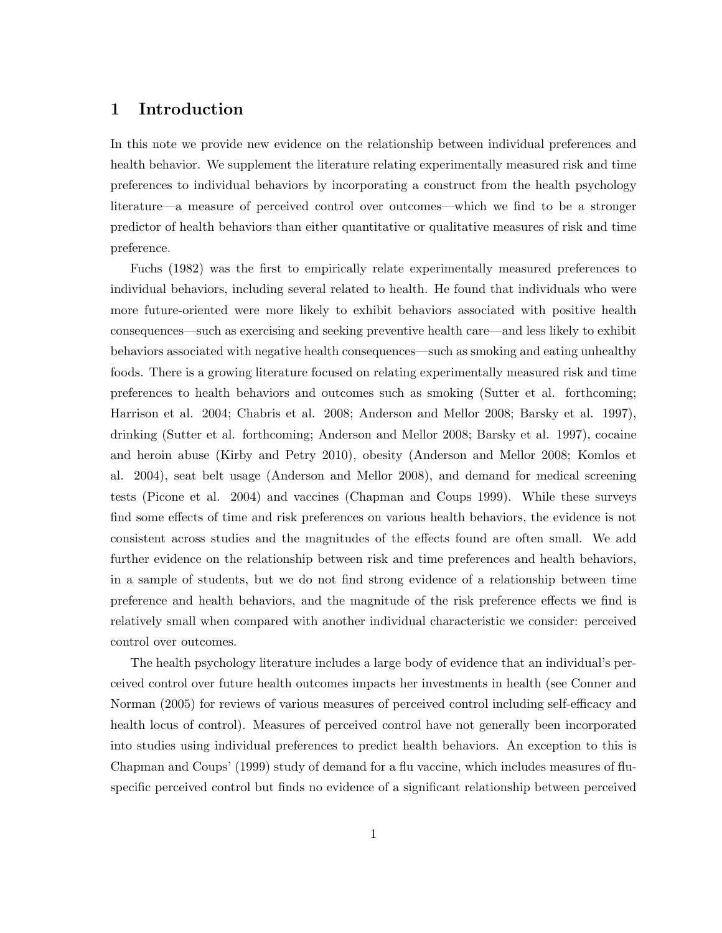#### 1 Introduction

In this note we provide new evidence on the relationship between individual preferences and health behavior. We supplement the literature relating experimentally measured risk and time preferences to individual behaviors by incorporating a construct from the health psychology literature—a measure of perceived control over outcomes—which we find to be a stronger predictor of health behaviors than either quantitative or qualitative measures of risk and time preference.

Fuchs (1982) was the first to empirically relate experimentally measured preferences to individual behaviors, including several related to health. He found that individuals who were more future-oriented were more likely to exhibit behaviors associated with positive health consequences—such as exercising and seeking preventive health care—and less likely to exhibit behaviors associated with negative health consequences—such as smoking and eating unhealthy foods. There is a growing literature focused on relating experimentally measured risk and time preferences to health behaviors and outcomes such as smoking (Sutter et al. forthcoming; Harrison et al. 2004; Chabris et al. 2008; Anderson and Mellor 2008; Barsky et al. 1997), drinking (Sutter et al. forthcoming; Anderson and Mellor 2008; Barsky et al. 1997), cocaine and heroin abuse (Kirby and Petry 2010), obesity (Anderson and Mellor 2008; Komlos et al. 2004), seat belt usage (Anderson and Mellor 2008), and demand for medical screening tests (Picone et al. 2004) and vaccines (Chapman and Coups 1999). While these surveys find some effects of time and risk preferences on various health behaviors, the evidence is not consistent across studies and the magnitudes of the effects found are often small. We add further evidence on the relationship between risk and time preferences and health behaviors, in a sample of students, but we do not find strong evidence of a relationship between time preference and health behaviors, and the magnitude of the risk preference effects we find is relatively small when compared with another individual characteristic we consider: perceived control over outcomes.

The health psychology literature includes a large body of evidence that an individual's perceived control over future health outcomes impacts her investments in health (see Conner and Norman (2005) for reviews of various measures of perceived control including self-efficacy and health locus of control). Measures of perceived control have not generally been incorporated into studies using individual preferences to predict health behaviors. An exception to this is Chapman and Coups' (1999) study of demand for a flu vaccine, which includes measures of fluspecific perceived control but finds no evidence of a significant relationship between perceived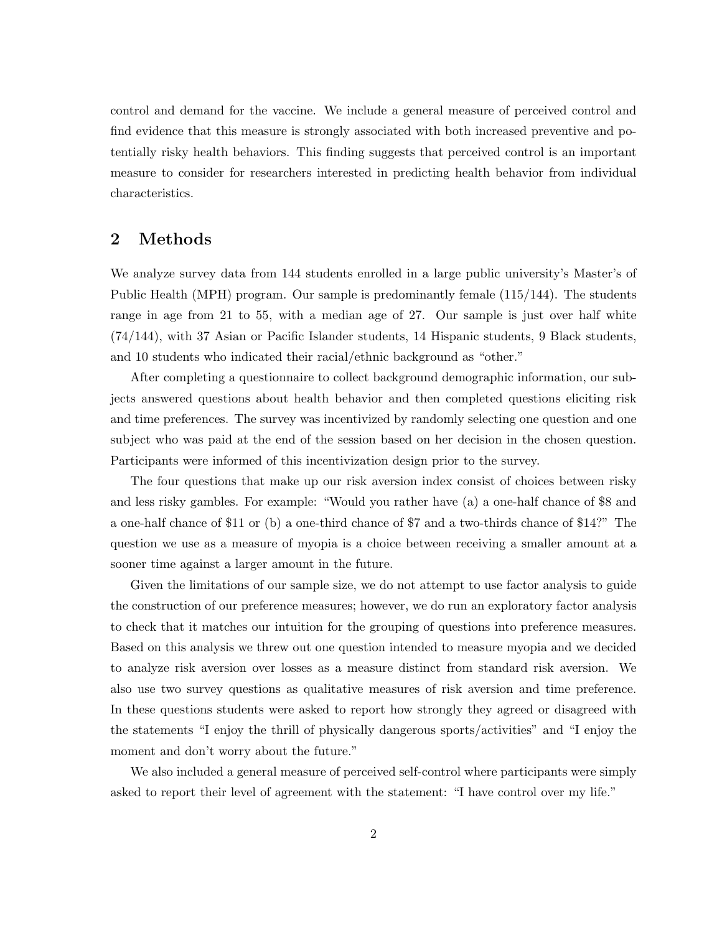control and demand for the vaccine. We include a general measure of perceived control and find evidence that this measure is strongly associated with both increased preventive and potentially risky health behaviors. This finding suggests that perceived control is an important measure to consider for researchers interested in predicting health behavior from individual characteristics.

#### 2 Methods

We analyze survey data from 144 students enrolled in a large public university's Master's of Public Health (MPH) program. Our sample is predominantly female (115/144). The students range in age from 21 to 55, with a median age of 27. Our sample is just over half white (74/144), with 37 Asian or Pacific Islander students, 14 Hispanic students, 9 Black students, and 10 students who indicated their racial/ethnic background as "other."

After completing a questionnaire to collect background demographic information, our subjects answered questions about health behavior and then completed questions eliciting risk and time preferences. The survey was incentivized by randomly selecting one question and one subject who was paid at the end of the session based on her decision in the chosen question. Participants were informed of this incentivization design prior to the survey.

The four questions that make up our risk aversion index consist of choices between risky and less risky gambles. For example: "Would you rather have (a) a one-half chance of \$8 and a one-half chance of \$11 or (b) a one-third chance of \$7 and a two-thirds chance of \$14?" The question we use as a measure of myopia is a choice between receiving a smaller amount at a sooner time against a larger amount in the future.

Given the limitations of our sample size, we do not attempt to use factor analysis to guide the construction of our preference measures; however, we do run an exploratory factor analysis to check that it matches our intuition for the grouping of questions into preference measures. Based on this analysis we threw out one question intended to measure myopia and we decided to analyze risk aversion over losses as a measure distinct from standard risk aversion. We also use two survey questions as qualitative measures of risk aversion and time preference. In these questions students were asked to report how strongly they agreed or disagreed with the statements "I enjoy the thrill of physically dangerous sports/activities" and "I enjoy the moment and don't worry about the future."

We also included a general measure of perceived self-control where participants were simply asked to report their level of agreement with the statement: "I have control over my life."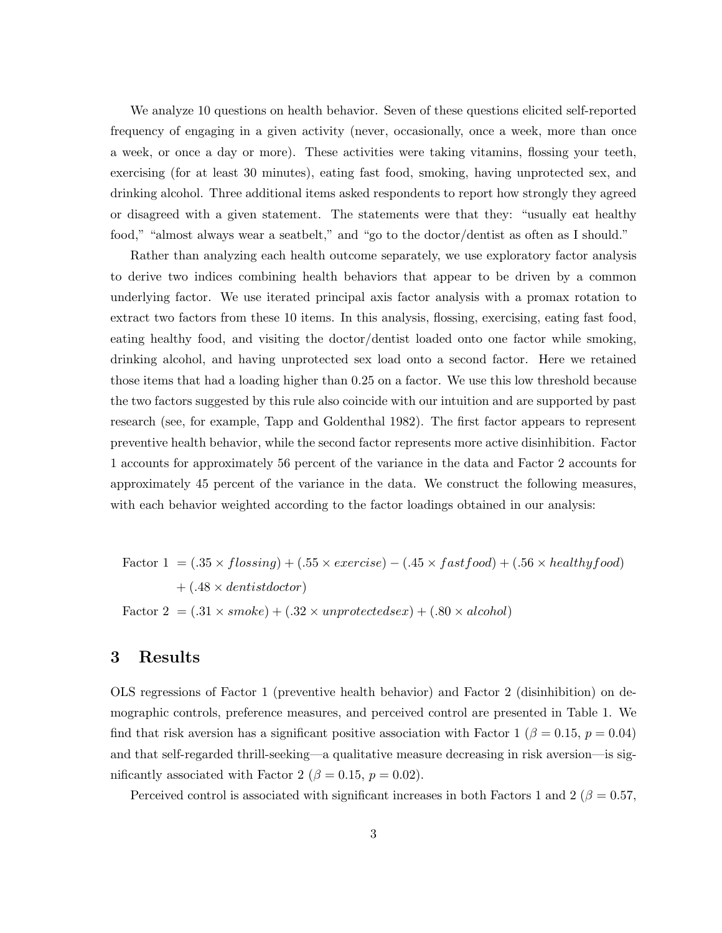We analyze 10 questions on health behavior. Seven of these questions elicited self-reported frequency of engaging in a given activity (never, occasionally, once a week, more than once a week, or once a day or more). These activities were taking vitamins, flossing your teeth, exercising (for at least 30 minutes), eating fast food, smoking, having unprotected sex, and drinking alcohol. Three additional items asked respondents to report how strongly they agreed or disagreed with a given statement. The statements were that they: "usually eat healthy food," "almost always wear a seatbelt," and "go to the doctor/dentist as often as I should."

Rather than analyzing each health outcome separately, we use exploratory factor analysis to derive two indices combining health behaviors that appear to be driven by a common underlying factor. We use iterated principal axis factor analysis with a promax rotation to extract two factors from these 10 items. In this analysis, flossing, exercising, eating fast food, eating healthy food, and visiting the doctor/dentist loaded onto one factor while smoking, drinking alcohol, and having unprotected sex load onto a second factor. Here we retained those items that had a loading higher than 0.25 on a factor. We use this low threshold because the two factors suggested by this rule also coincide with our intuition and are supported by past research (see, for example, Tapp and Goldenthal 1982). The first factor appears to represent preventive health behavior, while the second factor represents more active disinhibition. Factor 1 accounts for approximately 56 percent of the variance in the data and Factor 2 accounts for approximately 45 percent of the variance in the data. We construct the following measures, with each behavior weighted according to the factor loadings obtained in our analysis:

Factor 1 = 
$$
(.35 \times flossing) + (.55 \times exercise) - (.45 \times fastfood) + (.56 \times healthyfood)
$$
  
+  $(.48 \times dentistdoctor)$ 

Factor 2 =  $(.31 \times smoke) + (.32 \times unprotectedsex) + (.80 \times alcohol)$ 

#### 3 Results

OLS regressions of Factor 1 (preventive health behavior) and Factor 2 (disinhibition) on demographic controls, preference measures, and perceived control are presented in Table 1. We find that risk aversion has a significant positive association with Factor 1 ( $\beta = 0.15$ ,  $p = 0.04$ ) and that self-regarded thrill-seeking—a qualitative measure decreasing in risk aversion—is significantly associated with Factor 2 ( $\beta = 0.15$ ,  $p = 0.02$ ).

Perceived control is associated with significant increases in both Factors 1 and 2 ( $\beta = 0.57$ ,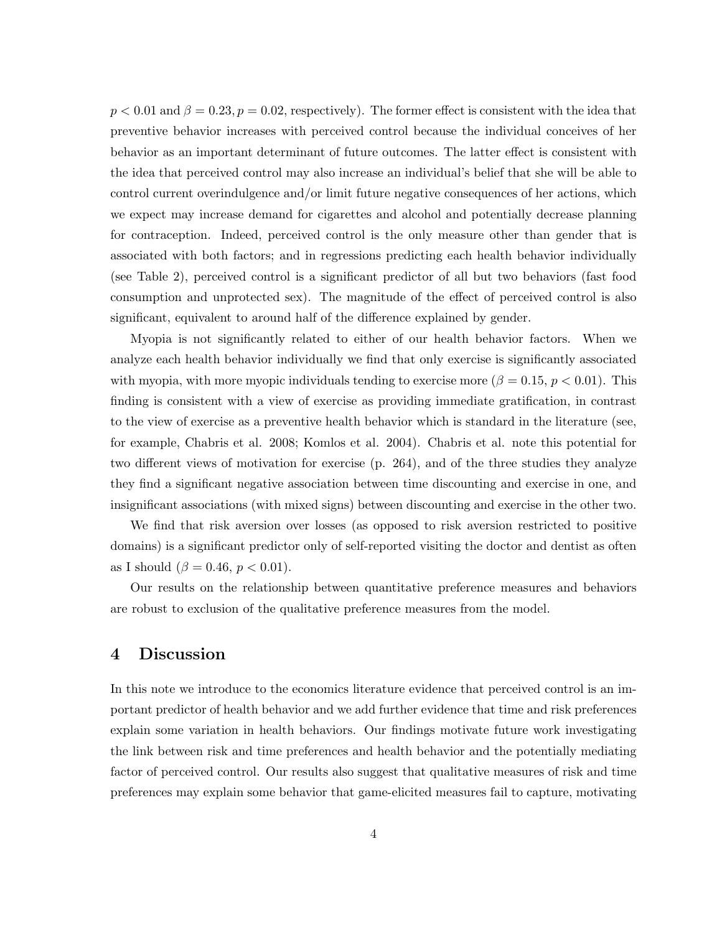$p < 0.01$  and  $\beta = 0.23, p = 0.02$ , respectively). The former effect is consistent with the idea that preventive behavior increases with perceived control because the individual conceives of her behavior as an important determinant of future outcomes. The latter effect is consistent with the idea that perceived control may also increase an individual's belief that she will be able to control current overindulgence and/or limit future negative consequences of her actions, which we expect may increase demand for cigarettes and alcohol and potentially decrease planning for contraception. Indeed, perceived control is the only measure other than gender that is associated with both factors; and in regressions predicting each health behavior individually (see Table 2), perceived control is a significant predictor of all but two behaviors (fast food consumption and unprotected sex). The magnitude of the effect of perceived control is also significant, equivalent to around half of the difference explained by gender.

Myopia is not significantly related to either of our health behavior factors. When we analyze each health behavior individually we find that only exercise is significantly associated with myopia, with more myopic individuals tending to exercise more ( $\beta = 0.15$ ,  $p < 0.01$ ). This finding is consistent with a view of exercise as providing immediate gratification, in contrast to the view of exercise as a preventive health behavior which is standard in the literature (see, for example, Chabris et al. 2008; Komlos et al. 2004). Chabris et al. note this potential for two different views of motivation for exercise (p. 264), and of the three studies they analyze they find a significant negative association between time discounting and exercise in one, and insignificant associations (with mixed signs) between discounting and exercise in the other two.

We find that risk aversion over losses (as opposed to risk aversion restricted to positive domains) is a significant predictor only of self-reported visiting the doctor and dentist as often as I should ( $\beta = 0.46, p < 0.01$ ).

Our results on the relationship between quantitative preference measures and behaviors are robust to exclusion of the qualitative preference measures from the model.

#### 4 Discussion

In this note we introduce to the economics literature evidence that perceived control is an important predictor of health behavior and we add further evidence that time and risk preferences explain some variation in health behaviors. Our findings motivate future work investigating the link between risk and time preferences and health behavior and the potentially mediating factor of perceived control. Our results also suggest that qualitative measures of risk and time preferences may explain some behavior that game-elicited measures fail to capture, motivating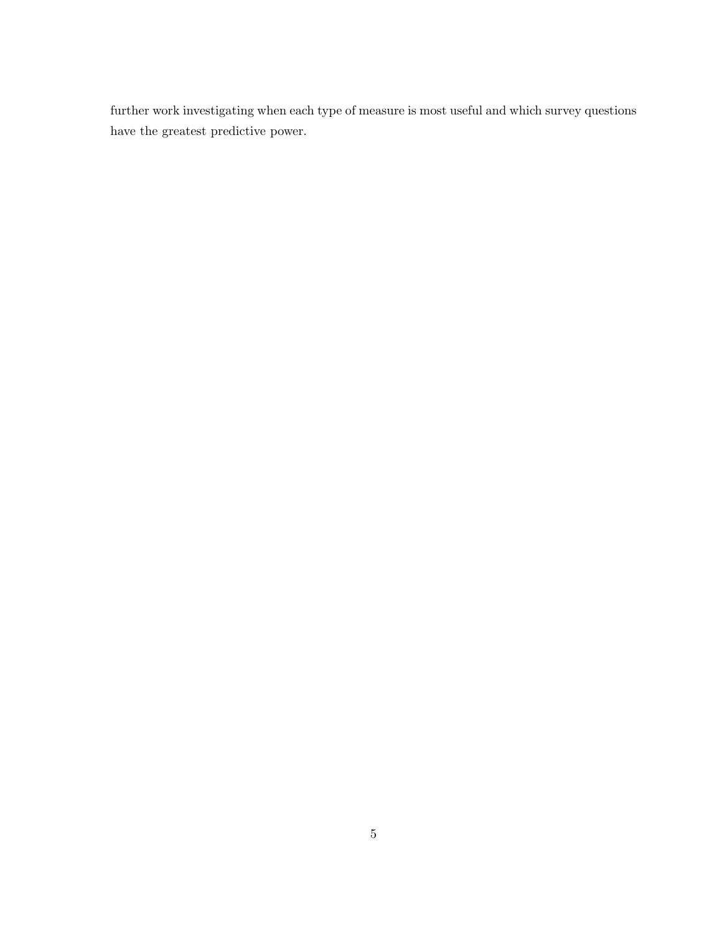further work investigating when each type of measure is most useful and which survey questions have the greatest predictive power.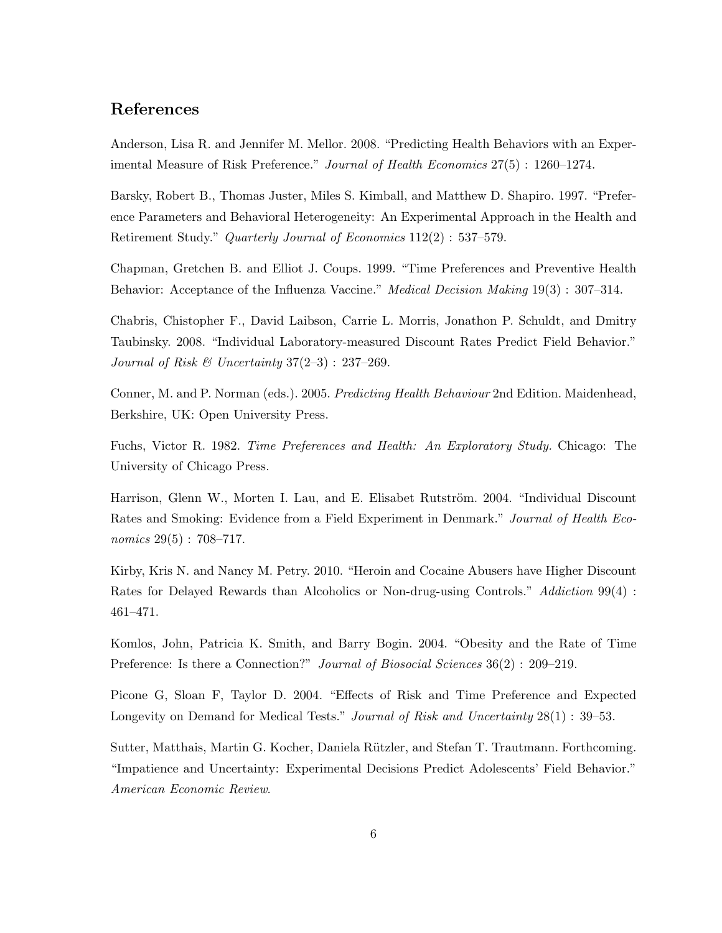#### References

Anderson, Lisa R. and Jennifer M. Mellor. 2008. "Predicting Health Behaviors with an Experimental Measure of Risk Preference." Journal of Health Economics 27(5) : 1260–1274.

Barsky, Robert B., Thomas Juster, Miles S. Kimball, and Matthew D. Shapiro. 1997. "Preference Parameters and Behavioral Heterogeneity: An Experimental Approach in the Health and Retirement Study." Quarterly Journal of Economics 112(2) : 537–579.

Chapman, Gretchen B. and Elliot J. Coups. 1999. "Time Preferences and Preventive Health Behavior: Acceptance of the Influenza Vaccine." *Medical Decision Making* 19(3) : 307–314.

Chabris, Chistopher F., David Laibson, Carrie L. Morris, Jonathon P. Schuldt, and Dmitry Taubinsky. 2008. "Individual Laboratory-measured Discount Rates Predict Field Behavior." Journal of Risk & Uncertainty  $37(2-3)$ :  $237-269$ .

Conner, M. and P. Norman (eds.). 2005. Predicting Health Behaviour 2nd Edition. Maidenhead, Berkshire, UK: Open University Press.

Fuchs, Victor R. 1982. Time Preferences and Health: An Exploratory Study. Chicago: The University of Chicago Press.

Harrison, Glenn W., Morten I. Lau, and E. Elisabet Rutström. 2004. "Individual Discount Rates and Smoking: Evidence from a Field Experiment in Denmark." Journal of Health Economics 29(5): 708-717.

Kirby, Kris N. and Nancy M. Petry. 2010. "Heroin and Cocaine Abusers have Higher Discount Rates for Delayed Rewards than Alcoholics or Non-drug-using Controls." Addiction 99(4) : 461–471.

Komlos, John, Patricia K. Smith, and Barry Bogin. 2004. "Obesity and the Rate of Time Preference: Is there a Connection?" *Journal of Biosocial Sciences* 36(2) : 209–219.

Picone G, Sloan F, Taylor D. 2004. "Effects of Risk and Time Preference and Expected Longevity on Demand for Medical Tests." Journal of Risk and Uncertainty 28(1) : 39–53.

Sutter, Matthais, Martin G. Kocher, Daniela Rützler, and Stefan T. Trautmann. Forthcoming. "Impatience and Uncertainty: Experimental Decisions Predict Adolescents' Field Behavior." American Economic Review.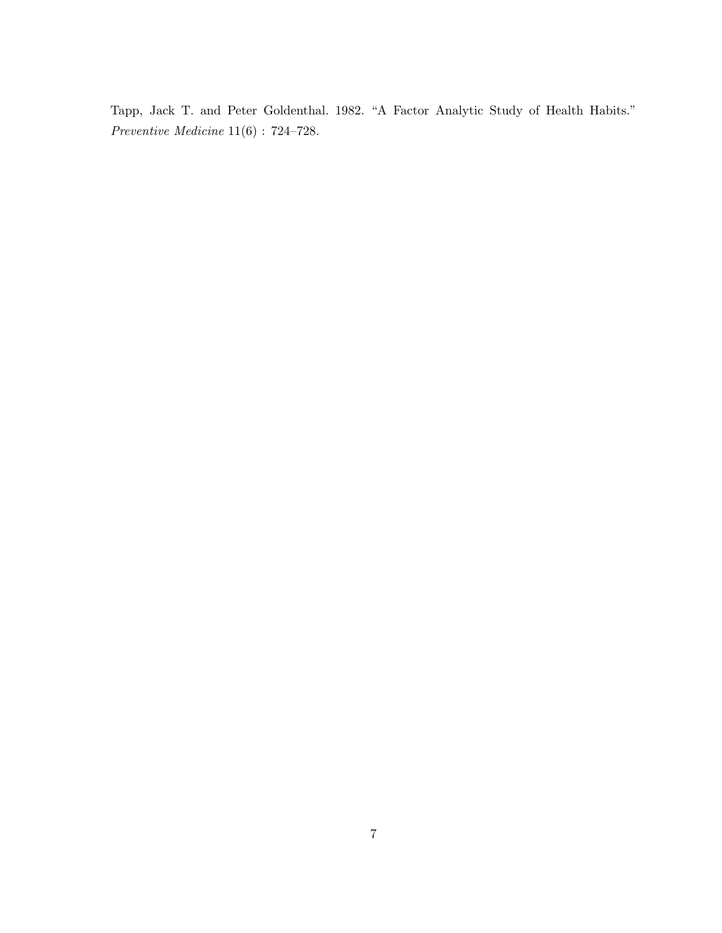Tapp, Jack T. and Peter Goldenthal. 1982. "A Factor Analytic Study of Health Habits." Preventive Medicine 11(6) : 724–728.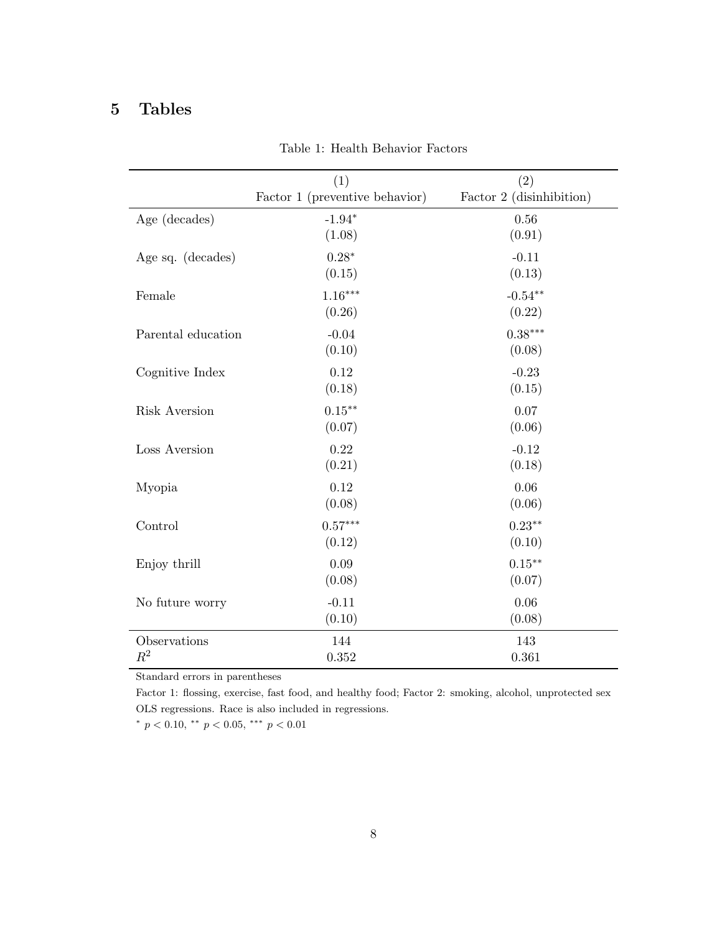### 5 Tables

|                       | (1)<br>Factor 1 (preventive behavior) | (2)<br>Factor 2 (disinhibition) |
|-----------------------|---------------------------------------|---------------------------------|
| Age (decades)         | $-1.94*$<br>(1.08)                    | $0.56\,$<br>(0.91)              |
| Age sq. (decades)     | $0.28*$<br>(0.15)                     | $-0.11$<br>(0.13)               |
| Female                | $1.16***$<br>(0.26)                   | $-0.54**$<br>(0.22)             |
| Parental education    | $-0.04$<br>(0.10)                     | $0.38***$<br>(0.08)             |
| Cognitive Index       | 0.12<br>(0.18)                        | $-0.23$<br>(0.15)               |
| <b>Risk Aversion</b>  | $0.15***$<br>(0.07)                   | 0.07<br>(0.06)                  |
| Loss Aversion         | 0.22<br>(0.21)                        | $-0.12$<br>(0.18)               |
| Myopia                | 0.12<br>(0.08)                        | 0.06<br>(0.06)                  |
| Control               | $0.57***$<br>(0.12)                   | $0.23**$<br>(0.10)              |
| Enjoy thrill          | 0.09<br>(0.08)                        | $0.15***$<br>(0.07)             |
| No future worry       | $-0.11$<br>(0.10)                     | 0.06<br>(0.08)                  |
| Observations<br>$R^2$ | 144<br>0.352                          | 143<br>0.361                    |

Table 1: Health Behavior Factors

Standard errors in parentheses

Factor 1: flossing, exercise, fast food, and healthy food; Factor 2: smoking, alcohol, unprotected sex OLS regressions. Race is also included in regressions.

\*  $p < 0.10$ , \*\*  $p < 0.05$ , \*\*\*  $p < 0.01$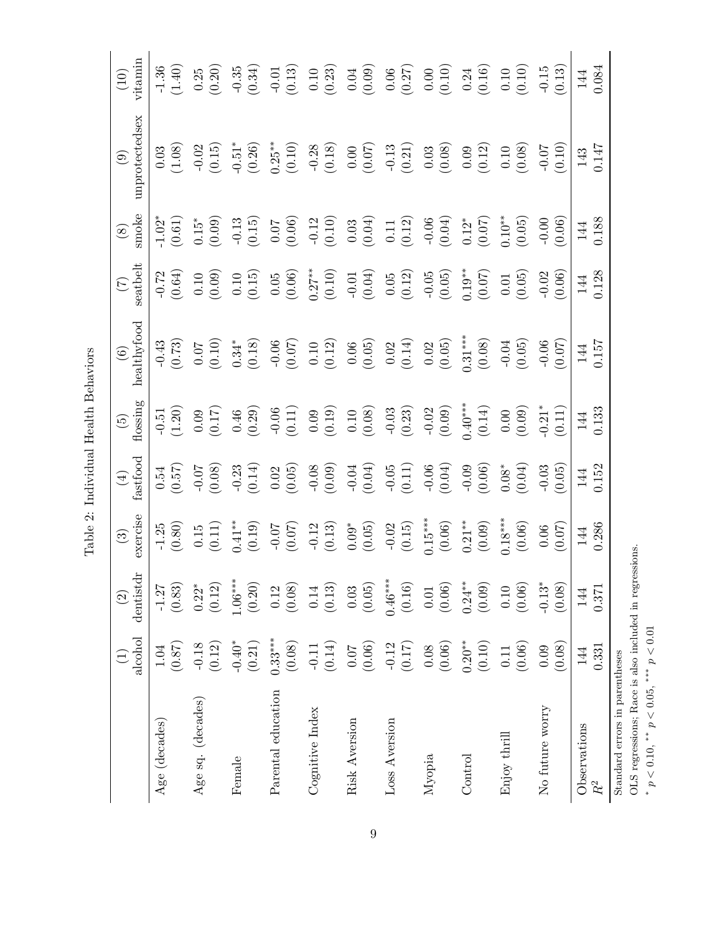|                                                                                                                                       | alcohol<br>$\begin{pmatrix} 1 \end{pmatrix}$   | dentistdr<br>$\textcircled{\scriptsize 2}$ | exercise<br>$\odot$                                                                                                                                                                                                                                                                                                                | $\begin{array}{c} (4) \\ \text{fastfood} \end{array}$                                                                                                                                                                                                                                                                       | flossing<br>$\widetilde{G}$                                                                                                                                                                                                                                                                                                 | $\begin{array}{c} (6) \\ \text{ healthyfood} \end{array}$                                                                       | seatbelt<br>$\widetilde{C}$                                                                                  | smoke<br>$\circledS$                                                                                                                                                                                                            | unprotectedsex<br>$\odot$                                                                                                             | vitamin<br>(10)                                                                                                                                                                                                                                                                     |
|---------------------------------------------------------------------------------------------------------------------------------------|------------------------------------------------|--------------------------------------------|------------------------------------------------------------------------------------------------------------------------------------------------------------------------------------------------------------------------------------------------------------------------------------------------------------------------------------|-----------------------------------------------------------------------------------------------------------------------------------------------------------------------------------------------------------------------------------------------------------------------------------------------------------------------------|-----------------------------------------------------------------------------------------------------------------------------------------------------------------------------------------------------------------------------------------------------------------------------------------------------------------------------|---------------------------------------------------------------------------------------------------------------------------------|--------------------------------------------------------------------------------------------------------------|---------------------------------------------------------------------------------------------------------------------------------------------------------------------------------------------------------------------------------|---------------------------------------------------------------------------------------------------------------------------------------|-------------------------------------------------------------------------------------------------------------------------------------------------------------------------------------------------------------------------------------------------------------------------------------|
| Age (decades)                                                                                                                         | (0.87)<br>1.04                                 | $\left(0.83\right)$<br>$-1.27$             | $-1.25$<br>(0.80)                                                                                                                                                                                                                                                                                                                  | (0.54)                                                                                                                                                                                                                                                                                                                      | (1.51)                                                                                                                                                                                                                                                                                                                      | $-0.43$<br>(0.73)                                                                                                               | $-0.72$<br>(0.64)                                                                                            | $-1.02$ <sup>*</sup><br>(0.61)                                                                                                                                                                                                  | $\begin{array}{c} 0.03 \\ (1.08) \end{array}$                                                                                         | $-1.36$<br>(1.40)                                                                                                                                                                                                                                                                   |
| Age sq. (decades)                                                                                                                     | $(0.12)$<br>$-0.18$                            | $\left(0.12\right)$<br>$0.22*$             |                                                                                                                                                                                                                                                                                                                                    | (80.0)                                                                                                                                                                                                                                                                                                                      | (0.17)                                                                                                                                                                                                                                                                                                                      |                                                                                                                                 | (0.10)                                                                                                       | $(0.15^{*}$                                                                                                                                                                                                                     | $-0.02$<br>(0.15)                                                                                                                     | $(0.25)$<br>(0.20)                                                                                                                                                                                                                                                                  |
| Female                                                                                                                                | $-0.40*$<br>$(0.21)$                           | $1.06***$<br>(0.20)                        | $\begin{array}{c} 0.15 \\ (0.11) \\ 0.41^{**} \\ (0.19) \end{array}$                                                                                                                                                                                                                                                               | $-0.23$<br>(0.14)                                                                                                                                                                                                                                                                                                           | (0.46)                                                                                                                                                                                                                                                                                                                      | $\begin{array}{c} 0.07 \\ (0.10) \\ 0.34^{*} \\ (0.18) \end{array}$                                                             | (0.10)                                                                                                       | $-0.13$<br>(0.15)                                                                                                                                                                                                               | $-0.51$ <sup>*</sup><br>(0.26)                                                                                                        | $-0.35$<br>(0.34)                                                                                                                                                                                                                                                                   |
| Parental education                                                                                                                    | $0.33***$<br>(0.08)                            | (0.08)<br>$\rm 0.12$                       |                                                                                                                                                                                                                                                                                                                                    |                                                                                                                                                                                                                                                                                                                             |                                                                                                                                                                                                                                                                                                                             |                                                                                                                                 |                                                                                                              |                                                                                                                                                                                                                                 |                                                                                                                                       |                                                                                                                                                                                                                                                                                     |
| Cognitive Index                                                                                                                       | (0.14)<br>$\hbox{-}0.11$                       | (0.13)<br>$0.14\,$                         |                                                                                                                                                                                                                                                                                                                                    | $\begin{array}{c} 0.02 \\[-4pt] 0.05 \\[-4pt] 0.06 \\[-4pt] 0.04 \\[-4pt] 0.04 \\[-4pt] 0.05 \\[-4pt] 0.04 \\[-4pt] 0.05 \\[-4pt] 0.04 \\[-4pt] 0.06 \\[-4pt] 0.04 \\[-4pt] 0.04 \\[-4pt] 0.04 \\[-4pt] 0.04 \\[-4pt] 0.04 \\[-4pt] 0.04 \\[-4pt] 0.04 \\[-4pt] 0.04 \\[-4pt] 0.04 \\[-4pt] 0.04 \\[-4pt] 0.04 \\[-4pt] 0.$ | $\begin{array}{c} 0.06 \\[-4pt] 0.11) \\[-4pt] 0.09 \\[-4pt] 0.10 \\[-4pt] 0.03 \\[-4pt] 0.03 \\[-4pt] 0.02 \\[-4pt] 0.02 \\[-4pt] 0.02 \\[-4pt] 0.09 \\[-4pt] 0.09 \\[-4pt] 0.09 \\[-4pt] 0.09 \\[-4pt] 0.09 \\[-4pt] 0.09 \\[-4pt] 0.00 \\[-4pt] 0.00 \\[-4pt] 0.00 \\[-4pt] 0.00 \\[-4pt] 0.00 \\[-4pt] 0.00 \\[-4pt] 0$ | $\begin{array}{c} 0.06 \\ (0.07) \\ 0.10 \\ (0.12) \\ (0.06) \\ (0.05) \\ (0.014) \\ (0.02) \\ (0.05) \\ (0.05) \\ \end{array}$ | $\begin{array}{c} 0.05 \\ (0.06) \\ 0.27^{**} \\ (0.10) \\ (0.01) \\ (0.04) \\ (0.05) \\ (0.12) \end{array}$ |                                                                                                                                                                                                                                 | $\begin{array}{l} 0.25^{**} \\ (0.10) \\ (0.10) \\ (0.08) \\ (0.00) \\ (0.07) \\ (0.07) \\ (0.21) \\ (0.03) \\ (0.08) \\ \end{array}$ |                                                                                                                                                                                                                                                                                     |
| Risk Aversion                                                                                                                         | $\begin{array}{c} 0.07 \\ 70.0 \\ \end{array}$ | $(0.05)$<br>0.03                           |                                                                                                                                                                                                                                                                                                                                    |                                                                                                                                                                                                                                                                                                                             |                                                                                                                                                                                                                                                                                                                             |                                                                                                                                 |                                                                                                              |                                                                                                                                                                                                                                 |                                                                                                                                       |                                                                                                                                                                                                                                                                                     |
| Loss Aversion                                                                                                                         | $-0.12$<br>(0.17)                              | $0.46***$<br>(0.16)                        |                                                                                                                                                                                                                                                                                                                                    |                                                                                                                                                                                                                                                                                                                             |                                                                                                                                                                                                                                                                                                                             |                                                                                                                                 |                                                                                                              |                                                                                                                                                                                                                                 |                                                                                                                                       |                                                                                                                                                                                                                                                                                     |
| Myopia                                                                                                                                | (0.08)                                         | (0.06)<br>$0.01\,$                         |                                                                                                                                                                                                                                                                                                                                    |                                                                                                                                                                                                                                                                                                                             |                                                                                                                                                                                                                                                                                                                             |                                                                                                                                 | $-0.05$<br>(0.05)                                                                                            |                                                                                                                                                                                                                                 |                                                                                                                                       |                                                                                                                                                                                                                                                                                     |
| $\operatorname{Control}$                                                                                                              | $0.20**$<br>$(0.10)$                           | $0.24***$<br>(0.09)                        |                                                                                                                                                                                                                                                                                                                                    |                                                                                                                                                                                                                                                                                                                             |                                                                                                                                                                                                                                                                                                                             | $0.31***$<br>(0.08)                                                                                                             | $0.19***$<br>(0.07)                                                                                          |                                                                                                                                                                                                                                 |                                                                                                                                       |                                                                                                                                                                                                                                                                                     |
| Enjoy thrill                                                                                                                          | (0.06)<br>$0.11\,$                             | (0.06)<br>$0.10\,$                         | $\begin{array}{c} -0.07 \\ (0.07) \\ (0.13) \\ (0.05) \\ (0.05) \\ (0.15) \\ (0.15) \\ (0.06) \\ (0.07) \\ (0.08) \\ (0.09) \\ (0.00) \\ (0.00) \\ (0.00) \\ (0.00) \\ (0.00) \\ (0.00) \\ (0.00) \\ (0.00) \\ (0.00) \\ (0.00) \\ (0.00) \\ (0.00) \\ (0.00) \\ (0.00) \\ (0.00) \\ (0.00) \\ (0.00) \\ (0.00) \\ (0.00) \\ (0.0$ | $-0.09$<br>$(0.06)$<br>$0.08*$<br>$(0.04)$                                                                                                                                                                                                                                                                                  | $0.40***$<br>$(0.14)$<br>$0.00$<br>$(0.09)$                                                                                                                                                                                                                                                                                 | $-0.04$<br>$(0.05)$<br>$-0.06$<br>$(0.07)$                                                                                      | (0.01)                                                                                                       | $\begin{array}{c} 0.07 \\[-4pt] 0.12 \\[-4pt] 0.03 \\[-4pt] 0.03 \\[-4pt] 0.03 \\[-4pt] 0.11 \\[-4pt] 0.12 \\[-4pt] 0.12 \\[-4pt] 0.12^* \\[-4pt] 0.12^* \\[-4pt] 0.04 \\[-4pt] 0.12^* \\[-4pt] 0.05 \\[-4pt] 0.05 \end{array}$ | $\begin{array}{c} 0.09 \\ (0.12) \\ 0.10 \\ (0.08) \end{array}$                                                                       | $\begin{array}{rrrr} 0.01 & 0.10 & 0.10 \\ 0.10 & 0.23 & 0.00 \\ 0.000 & 0.000 & 0.00 \\ 0.000 & 0.000 & 0.00 \\ 0.000 & 0.000 & 0.00 \\ 0.000 & 0.000 & 0.00 \\ 0.000 & 0.000 & 0.00 \\ 0.000 & 0.000 & 0.00 \\ 0.000 & 0.000 & 0.00 \\ 0.000 & 0.000 & 0.00 \\ 0.000 & 0.000 & 0$ |
| No future worry                                                                                                                       | (0.08)<br>0.09                                 | $-0.13*$<br>(0.08)                         | (0.06)                                                                                                                                                                                                                                                                                                                             | $-0.03$<br>(0.05)                                                                                                                                                                                                                                                                                                           | $-0.21$ <sup>*</sup><br>(0.11)                                                                                                                                                                                                                                                                                              |                                                                                                                                 | $-0.02$<br>(0.06)                                                                                            | $-0.00$<br>$(0.06)$                                                                                                                                                                                                             | (0.10)                                                                                                                                |                                                                                                                                                                                                                                                                                     |
| Observations<br>$\ensuremath{R^2}$                                                                                                    | 0.331<br>144                                   | 0.371<br>144                               | 0.286<br>144                                                                                                                                                                                                                                                                                                                       | 0.152<br>144                                                                                                                                                                                                                                                                                                                | 0.133<br>144                                                                                                                                                                                                                                                                                                                | 0.157<br>144                                                                                                                    | 0.128<br>144                                                                                                 | 0.188<br>144                                                                                                                                                                                                                    | 0.147<br>143                                                                                                                          | 0.084<br>144                                                                                                                                                                                                                                                                        |
| OLS regressions; Race is also included in regressions<br>$p < 0.10$ , ** $p < 0.05$ , ** $p < 0.01$<br>Standard errors in parentheses |                                                |                                            |                                                                                                                                                                                                                                                                                                                                    |                                                                                                                                                                                                                                                                                                                             |                                                                                                                                                                                                                                                                                                                             |                                                                                                                                 |                                                                                                              |                                                                                                                                                                                                                                 |                                                                                                                                       |                                                                                                                                                                                                                                                                                     |

Table 2: Individual Health Behaviors Table 2: Individual Health Behaviors

\*  $p < 0.10$ , \*\*  $p < 0.05$ , \*\*\*  $p < 0.01$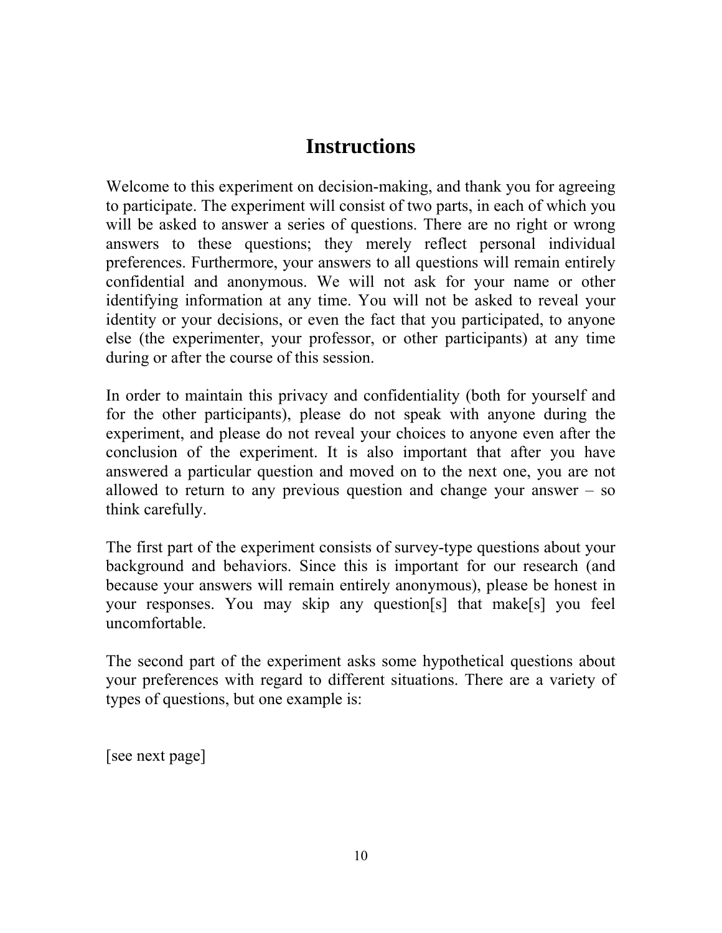## **Instructions**

Welcome to this experiment on decision-making, and thank you for agreeing to participate. The experiment will consist of two parts, in each of which you will be asked to answer a series of questions. There are no right or wrong answers to these questions; they merely reflect personal individual preferences. Furthermore, your answers to all questions will remain entirely confidential and anonymous. We will not ask for your name or other identifying information at any time. You will not be asked to reveal your identity or your decisions, or even the fact that you participated, to anyone else (the experimenter, your professor, or other participants) at any time during or after the course of this session.

In order to maintain this privacy and confidentiality (both for yourself and for the other participants), please do not speak with anyone during the experiment, and please do not reveal your choices to anyone even after the conclusion of the experiment. It is also important that after you have answered a particular question and moved on to the next one, you are not allowed to return to any previous question and change your answer – so think carefully.

The first part of the experiment consists of survey-type questions about your background and behaviors. Since this is important for our research (and because your answers will remain entirely anonymous), please be honest in your responses. You may skip any question[s] that make[s] you feel uncomfortable.

The second part of the experiment asks some hypothetical questions about your preferences with regard to different situations. There are a variety of types of questions, but one example is:

[see next page]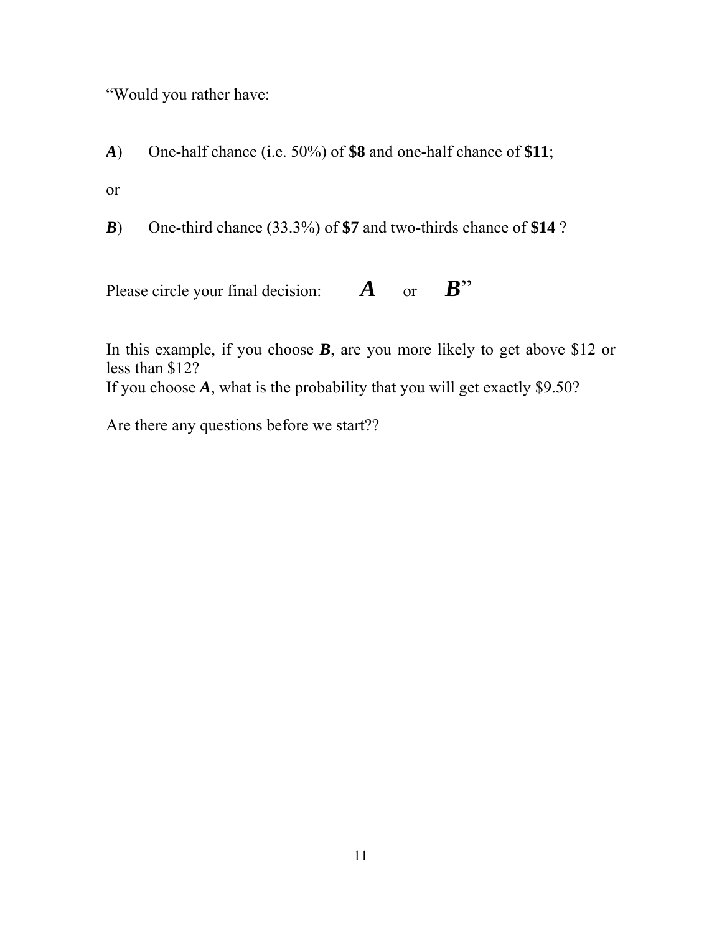"Would you rather have:

*A*) One-half chance (i.e. 50%) of **\$8** and one-half chance of **\$11**; or

*B*) One-third chance (33.3%) of **\$7** and two-thirds chance of **\$14** ?

Please circle your final decision: **A** or **B**"

In this example, if you choose **B**, are you more likely to get above \$12 or less than \$12? If you choose *A*, what is the probability that you will get exactly \$9.50?

Are there any questions before we start??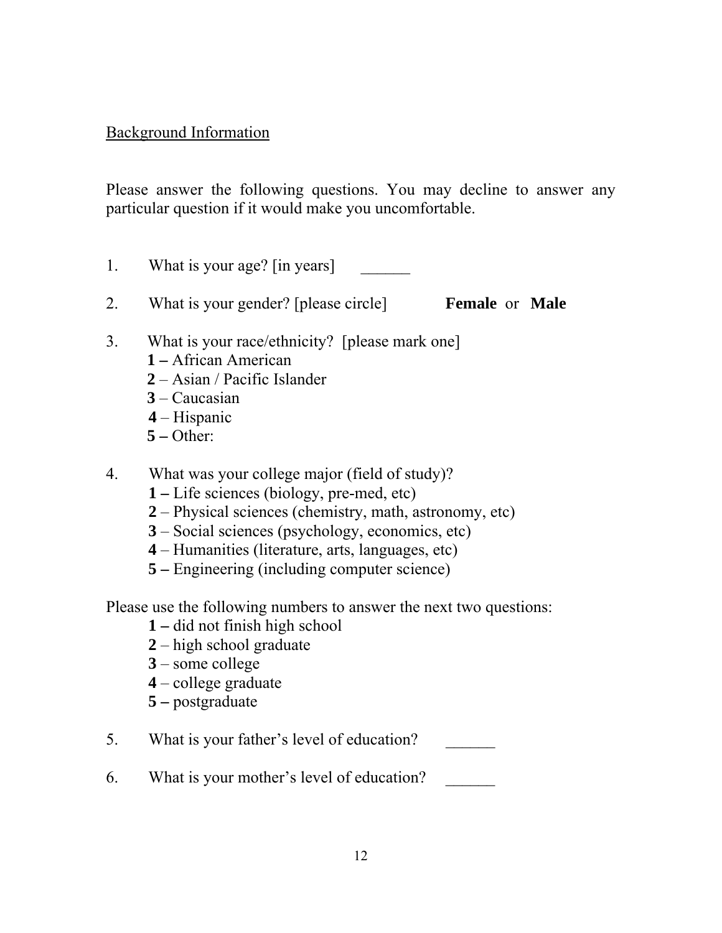### Background Information

Please answer the following questions. You may decline to answer any particular question if it would make you uncomfortable.

- 1. What is your age? [in years]
- 2. What is your gender? [please circle] **Female** or **Male**
- 3. What is your race/ethnicity? [please mark one]
	- **1** African American
	- **2** Asian / Pacific Islander
	- **3** Caucasian
	- **4** Hispanic
	- **5** Other:
- 4. What was your college major (field of study)?
	- **1** Life sciences (biology, pre-med, etc)
	- **2** Physical sciences (chemistry, math, astronomy, etc)
	- **3** Social sciences (psychology, economics, etc)
	- **4** Humanities (literature, arts, languages, etc)
	- **5** Engineering (including computer science)

Please use the following numbers to answer the next two questions:

- **1** did not finish high school
- **2** high school graduate
- **3** some college
- **4** college graduate
- **5** postgraduate
- 5. What is your father's level of education?
- 6. What is your mother's level of education?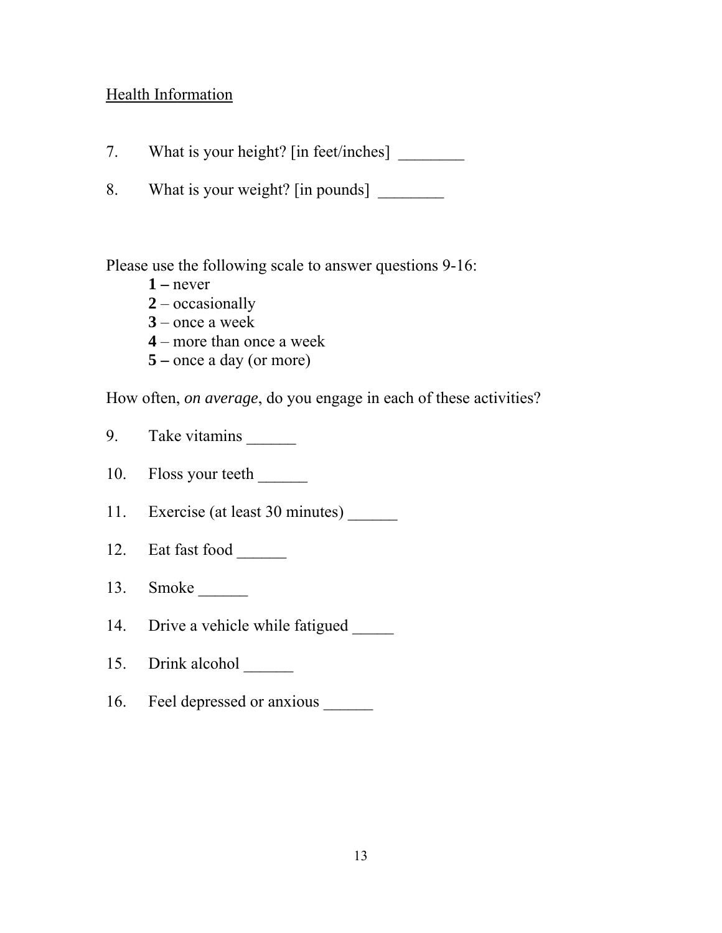### Health Information

- 7. What is your height? [in feet/inches] \_\_\_\_\_\_\_\_
- 8. What is your weight? [in pounds]

Please use the following scale to answer questions 9-16:

- **1** never
- **2** occasionally
- **3** once a week
- **4** more than once a week
- **5** once a day (or more)

How often, *on average*, do you engage in each of these activities?

- 9. Take vitamins \_\_\_\_\_\_\_
- 10. Floss your teeth \_\_\_\_\_\_
- 11. Exercise (at least 30 minutes) \_\_\_\_\_\_\_
- 12. Eat fast food
- 13. Smoke \_\_\_\_\_\_\_\_\_
- 14. Drive a vehicle while fatigued
- 15. Drink alcohol
- 16. Feel depressed or anxious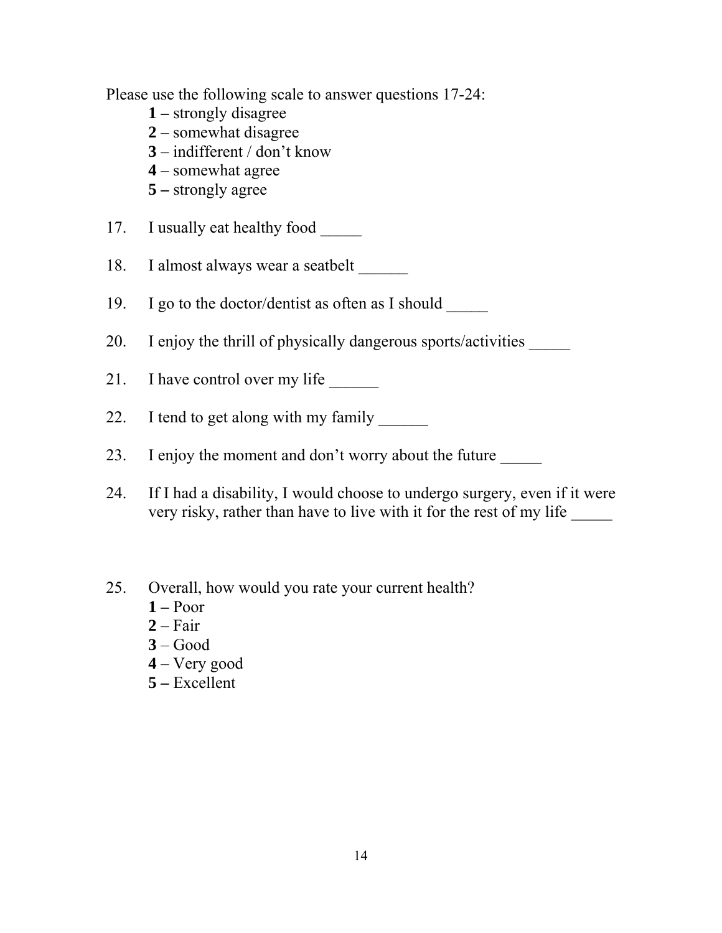Please use the following scale to answer questions 17-24:

- **1** strongly disagree
- **2** somewhat disagree
- **3** indifferent / don't know
- **4** somewhat agree
- **5** strongly agree
- 17. I usually eat healthy food
- 18. I almost always wear a seatbelt
- 19. I go to the doctor/dentist as often as I should \_\_\_\_\_
- 20. I enjoy the thrill of physically dangerous sports/activities \_\_\_\_\_\_
- 21. I have control over my life
- 22. I tend to get along with my family
- 23. I enjoy the moment and don't worry about the future
- 24. If I had a disability, I would choose to undergo surgery, even if it were very risky, rather than have to live with it for the rest of my life
- 25. Overall, how would you rate your current health?
	- **1** Poor
	- **2** Fair
	- **3** Good
	- **4** Very good
	- **5** Excellent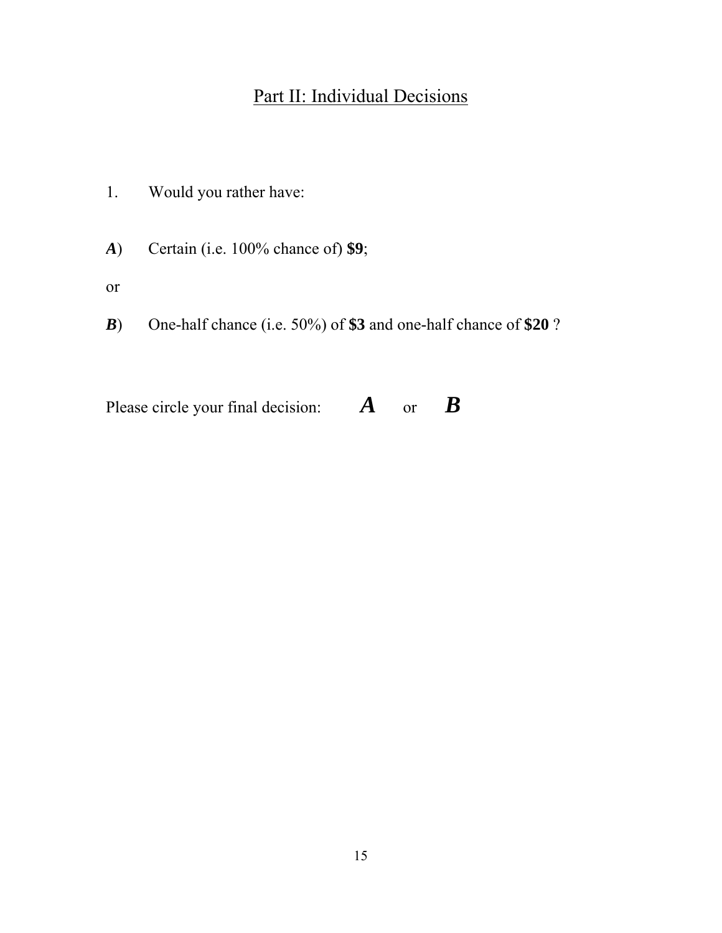## Part II: Individual Decisions

- 1. Would you rather have:
- *A*) Certain (i.e. 100% chance of) **\$9**;
- or
- *B*) One-half chance (i.e. 50%) of **\$3** and one-half chance of **\$20** ?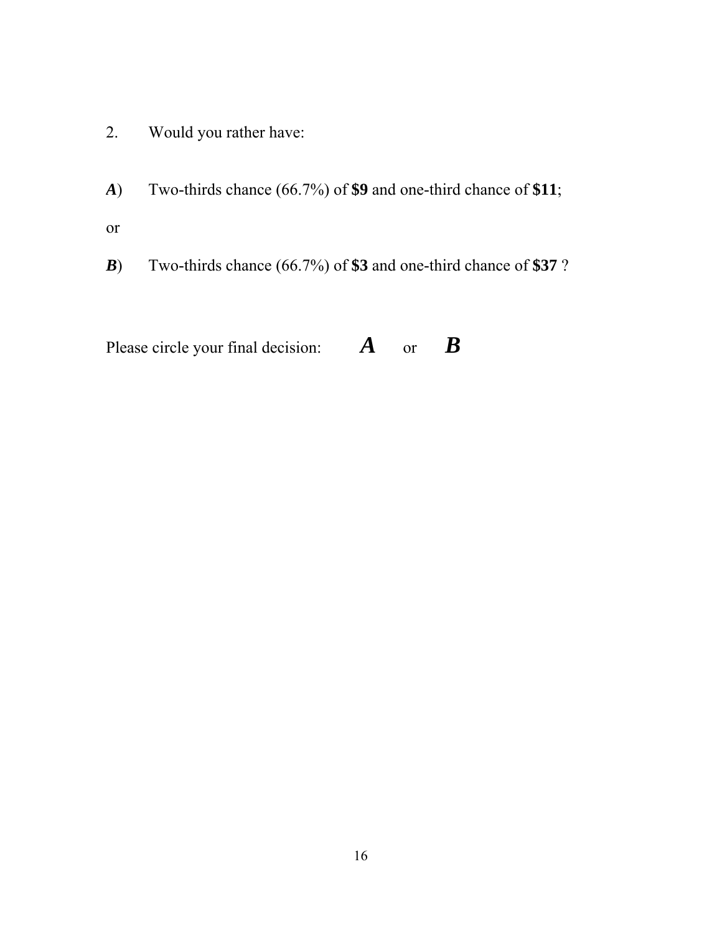- 2. Would you rather have:
- *A*) Two-thirds chance (66.7%) of **\$9** and one-third chance of **\$11**; or
- *B*) Two-thirds chance (66.7%) of **\$3** and one-third chance of **\$37** ?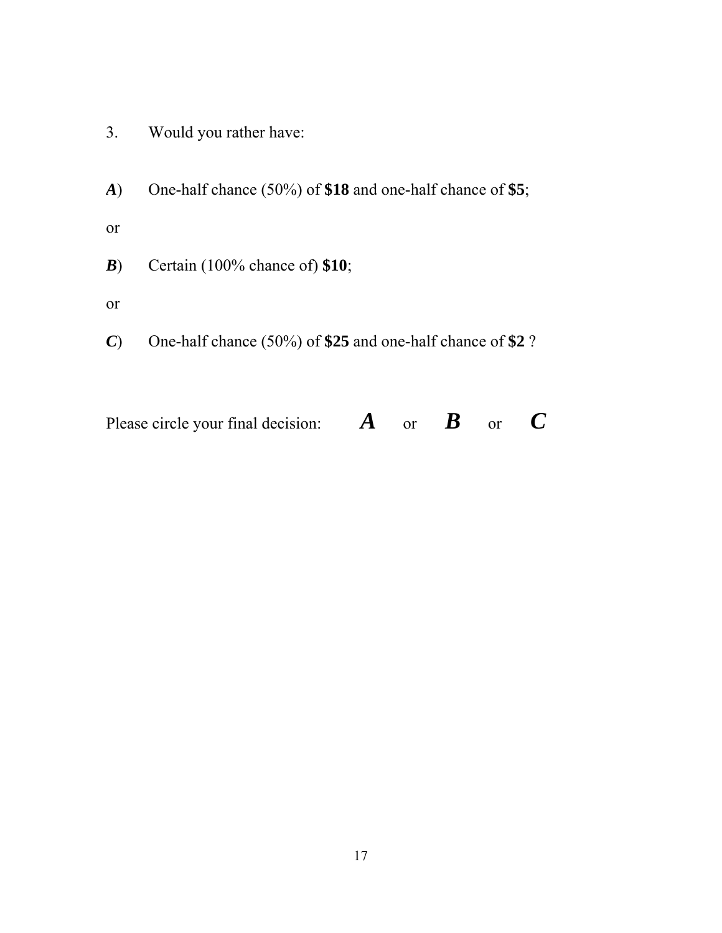- 3. Would you rather have:
- *A*) One-half chance (50%) of **\$18** and one-half chance of **\$5**;
- or
- *B*) Certain (100% chance of) **\$10**;
- or
- *C*) One-half chance (50%) of **\$25** and one-half chance of **\$2** ?

| Please circle your final decision: | $\boldsymbol{A}$ or $\boldsymbol{B}$ or $\boldsymbol{C}$ |  |  |
|------------------------------------|----------------------------------------------------------|--|--|
|                                    |                                                          |  |  |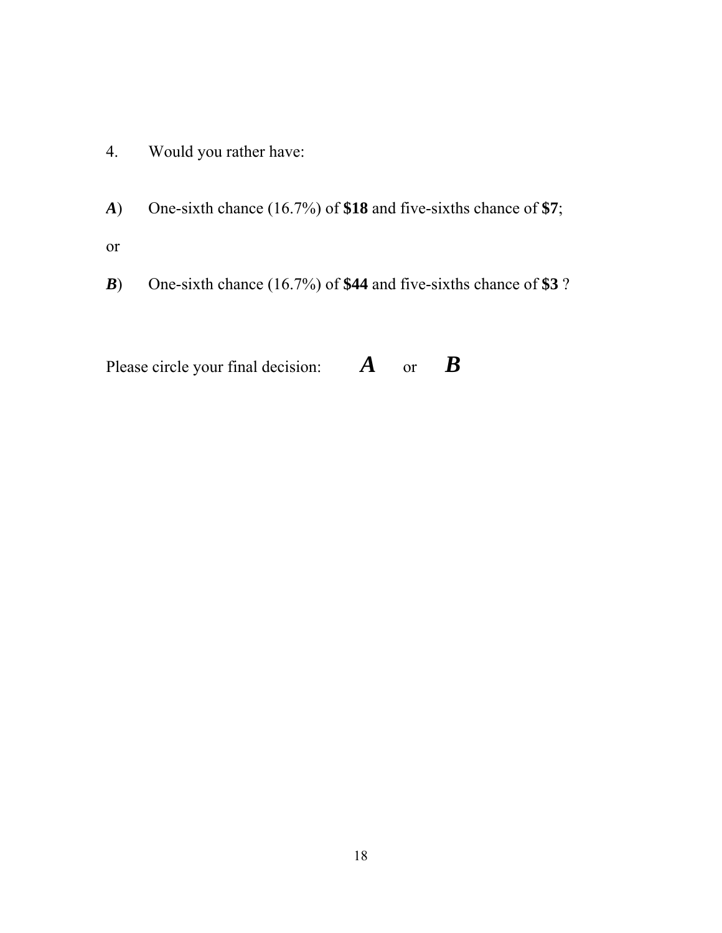- 4. Would you rather have:
- *A*) One-sixth chance (16.7%) of **\$18** and five-sixths chance of **\$7**;
- or
- *B*) One-sixth chance (16.7%) of **\$44** and five-sixths chance of **\$3** ?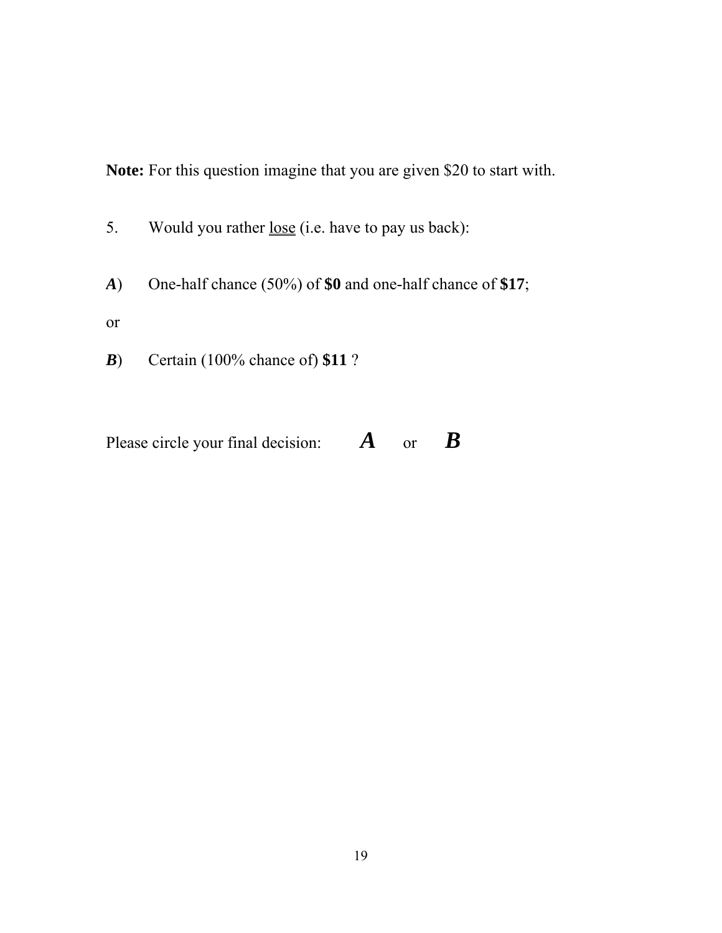**Note:** For this question imagine that you are given \$20 to start with.

- 5. Would you rather <u>lose</u> (i.e. have to pay us back):
- *A*) One-half chance (50%) of **\$0** and one-half chance of **\$17**;
- or
- *B*) Certain (100% chance of) **\$11** ?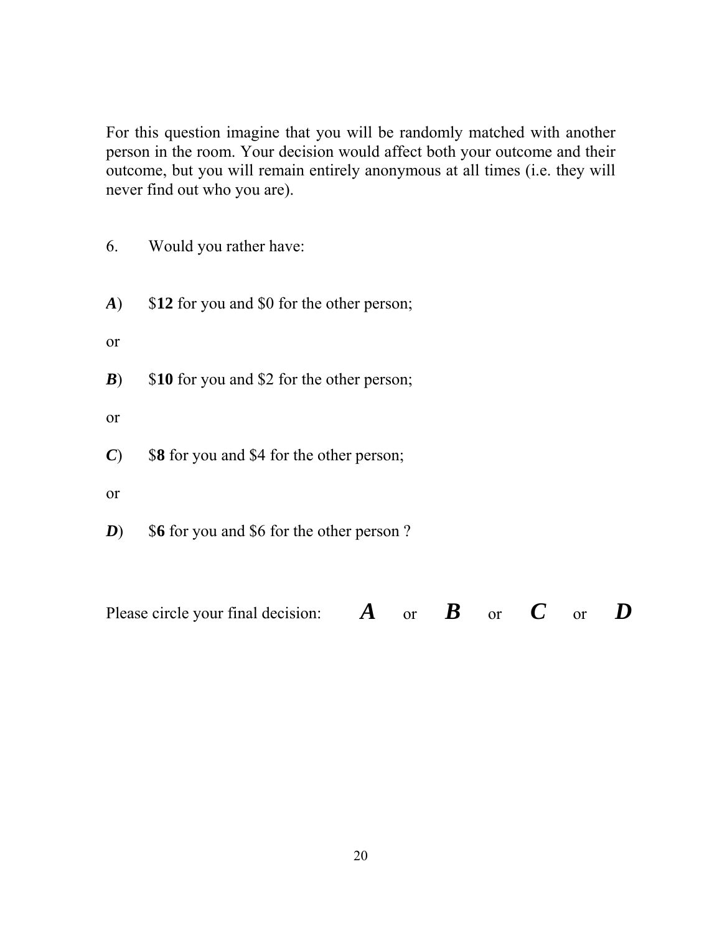For this question imagine that you will be randomly matched with another person in the room. Your decision would affect both your outcome and their outcome, but you will remain entirely anonymous at all times (i.e. they will never find out who you are).

- 6. Would you rather have:
- *A*) \$**12** for you and \$0 for the other person;
- or
- *B*) \$10 for you and \$2 for the other person;
- or
- *C*) \$**8** for you and \$4 for the other person;
- or
- *D*) \$6 for you and \$6 for the other person ?

Please circle your final decision: *A* or *B* or *C* or *D*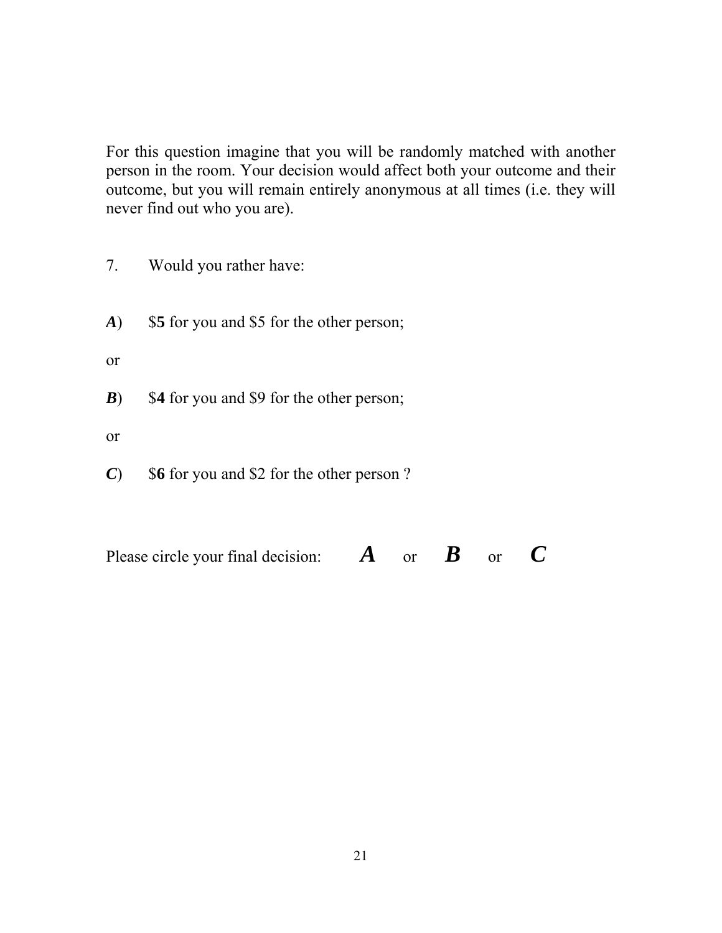For this question imagine that you will be randomly matched with another person in the room. Your decision would affect both your outcome and their outcome, but you will remain entirely anonymous at all times (i.e. they will never find out who you are).

- 7. Would you rather have:
- *A*) \$**5** for you and \$5 for the other person;
- or
- *B*) \$4 for you and \$9 for the other person;
- or
- *C*) \$**6** for you and \$2 for the other person ?

| Please circle your final decision: |  | $\boldsymbol{A}$ or $\boldsymbol{B}$ or $\boldsymbol{C}$ |  |
|------------------------------------|--|----------------------------------------------------------|--|
|                                    |  |                                                          |  |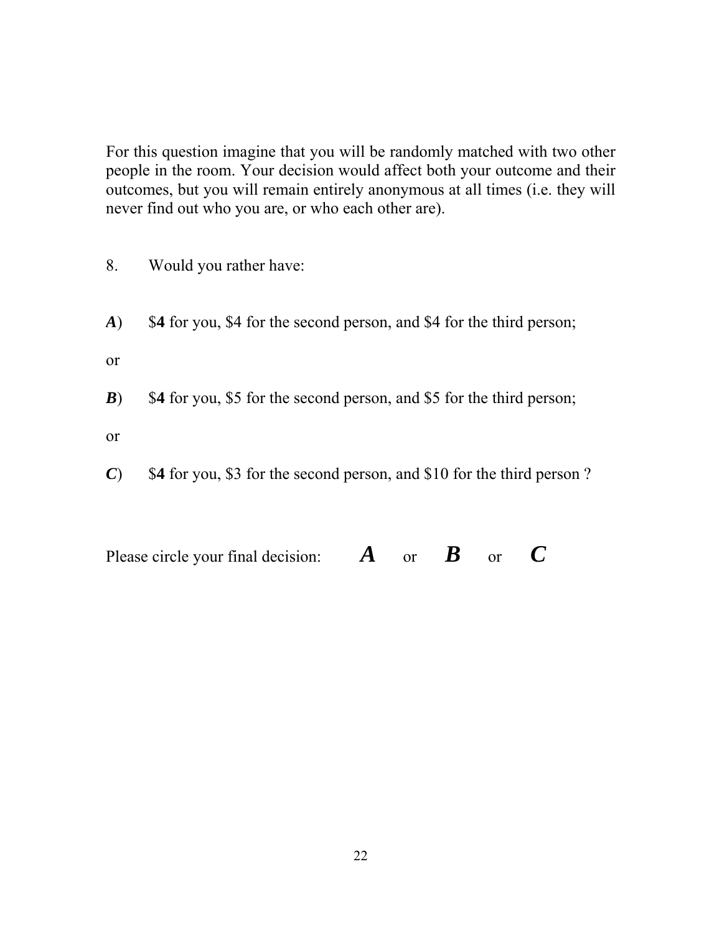For this question imagine that you will be randomly matched with two other people in the room. Your decision would affect both your outcome and their outcomes, but you will remain entirely anonymous at all times (i.e. they will never find out who you are, or who each other are).

- 8. Would you rather have:
- *A*) \$**4** for you, \$4 for the second person, and \$4 for the third person;
- or
- *B*) \$4 for you, \$5 for the second person, and \$5 for the third person;
- or
- *C*) \$**4** for you, \$3 for the second person, and \$10 for the third person ?

| Please circle your final decision: |  | $\boldsymbol{A}$ or $\boldsymbol{B}$ or $\boldsymbol{C}$ |  |
|------------------------------------|--|----------------------------------------------------------|--|
|                                    |  |                                                          |  |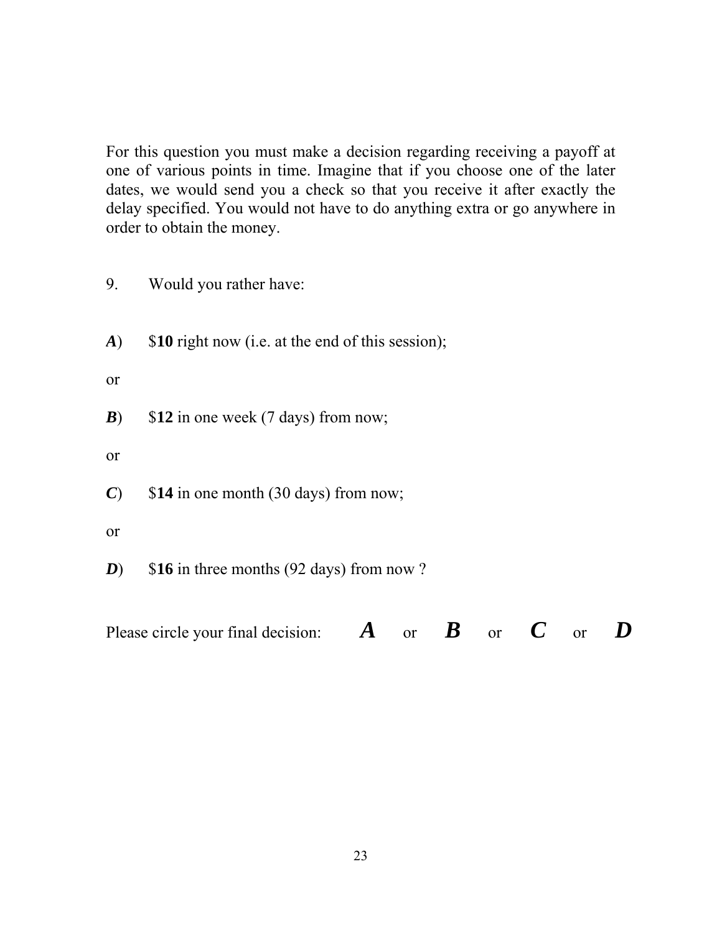For this question you must make a decision regarding receiving a payoff at one of various points in time. Imagine that if you choose one of the later dates, we would send you a check so that you receive it after exactly the delay specified. You would not have to do anything extra or go anywhere in order to obtain the money.

- 9. Would you rather have:
- *A*) \$**10** right now (i.e. at the end of this session);

or

*B*) \$12 in one week (7 days) from now;

or

- *C*) \$**14** in one month (30 days) from now;
- or
- *D*) \$16 in three months (92 days) from now ?

Please circle your final decision: *A* or *B* or *C* or *D*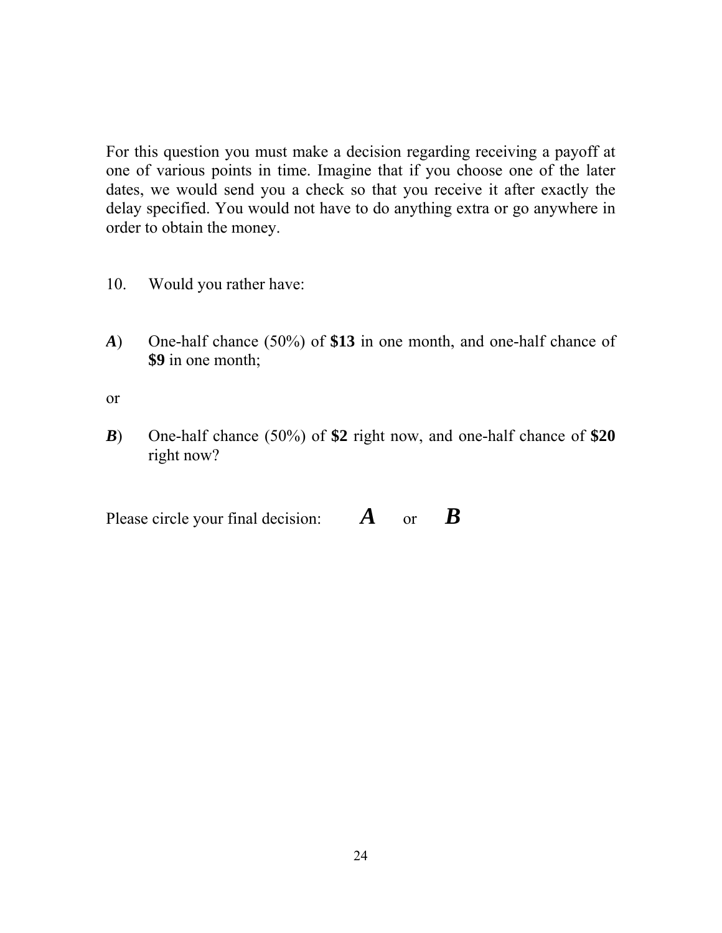For this question you must make a decision regarding receiving a payoff at one of various points in time. Imagine that if you choose one of the later dates, we would send you a check so that you receive it after exactly the delay specified. You would not have to do anything extra or go anywhere in order to obtain the money.

- 10. Would you rather have:
- *A*) One-half chance (50%) of **\$13** in one month, and one-half chance of **\$9** in one month;

or

*B*) One-half chance (50%) of **\$2** right now, and one-half chance of **\$20**  right now?